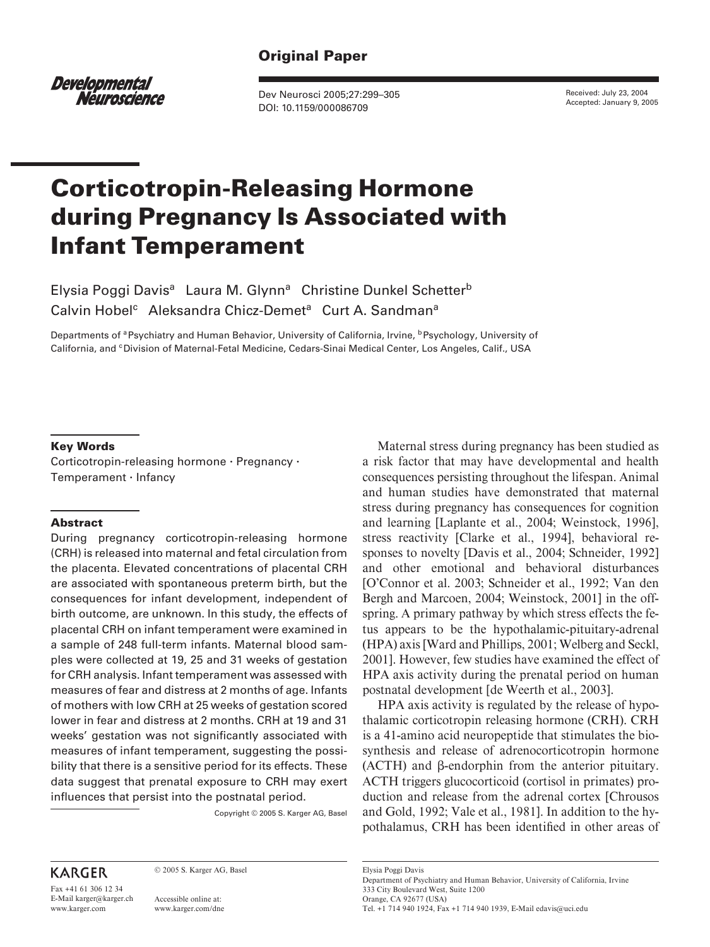# **Original Paper**

*Developmental* Néuroscience

Dev Neurosci 2005;27:299–305 DOI: 10.1159/000086709

Received: July 23, 2004 Accepted: January 9, 2005

# **Corticotropin-Releasing Hormone during Pregnancy Is Associated with Infant Temperament**

Elysia Poggi Davis<sup>a</sup> Laura M. Glynn<sup>a</sup> Christine Dunkel Schetter<sup>b</sup> Calvin Hobel<sup>c</sup> Aleksandra Chicz-Demet<sup>a</sup> Curt A. Sandman<sup>a</sup>

Departments of <sup>a</sup> Psychiatry and Human Behavior, University of California, Irvine, <sup>b</sup> Psychology, University of California, and <sup>c</sup> Division of Maternal-Fetal Medicine, Cedars-Sinai Medical Center, Los Angeles, Calif., USA

#### **Key Words**

Corticotropin-releasing hormone · Pregnancy · Temperament - Infancy

#### **Abstract**

During pregnancy corticotropin-releasing hormone (CRH) is released into maternal and fetal circulation from the placenta. Elevated concentrations of placental CRH are associated with spontaneous preterm birth, but the consequences for infant development, independent of birth outcome, are unknown. In this study, the effects of placental CRH on infant temperament were examined in a sample of 248 full-term infants. Maternal blood samples were collected at 19, 25 and 31 weeks of gestation for CRH analysis. Infant temperament was assessed with measures of fear and distress at 2 months of age. Infants of mothers with low CRH at 25 weeks of gestation scored lower in fear and distress at 2 months. CRH at 19 and 31 weeks' gestation was not significantly associated with measures of infant temperament, suggesting the possibility that there is a sensitive period for its effects. These data suggest that prenatal exposure to CRH may exert influences that persist into the postnatal period.

Copyright © 2005 S. Karger AG, Basel

Maternal stress during pregnancy has been studied as a risk factor that may have developmental and health consequences persisting throughout the lifespan. Animal and human studies have demonstrated that maternal stress during pregnancy has consequences for cognition and learning [Laplante et al., 2004; Weinstock, 1996], stress reactivity [Clarke et al., 1994], behavioral responses to novelty [Davis et al., 2004; Schneider, 1992] and other emotional and behavioral disturbances [O'Connor et al. 2003; Schneider et al., 1992; Van den Bergh and Marcoen, 2004; Weinstock, 2001] in the offspring. A primary pathway by which stress effects the fetus appears to be the hypothalamic-pituitary-adrenal (HPA) axis [Ward and Phillips, 2001; Welberg and Seckl, 2001]. However, few studies have examined the effect of HPA axis activity during the prenatal period on human postnatal development [de Weerth et al., 2003].

HPA axis activity is regulated by the release of hypothalamic corticotropin releasing hormone (CRH). CRH is a 41-amino acid neuropeptide that stimulates the biosynthesis and release of adrenocorticotropin hormone  $(ACTH)$  and  $\beta$ -endorphin from the anterior pituitary. ACTH triggers glucocorticoid (cortisol in primates) production and release from the adrenal cortex [Chrousos and Gold, 1992; Vale et al., 1981]. In addition to the hypothalamus, CRH has been identified in other areas of

# **KARGER**

Fax +41 61 306 12 34 E-Mail karger@karger.ch www.karger.com

© 2005 S. Karger AG, Basel

Accessible online at: www.karger.com/dne Elysia Poggi Davis Department of Psychiatry and Human Behavior, University of California, Irvine 333 City Boulevard West, Suite 1200 Orange, CA 92677 (USA) Tel. +1 714 940 1924, Fax +1 714 940 1939, E-Mail edavis@uci.edu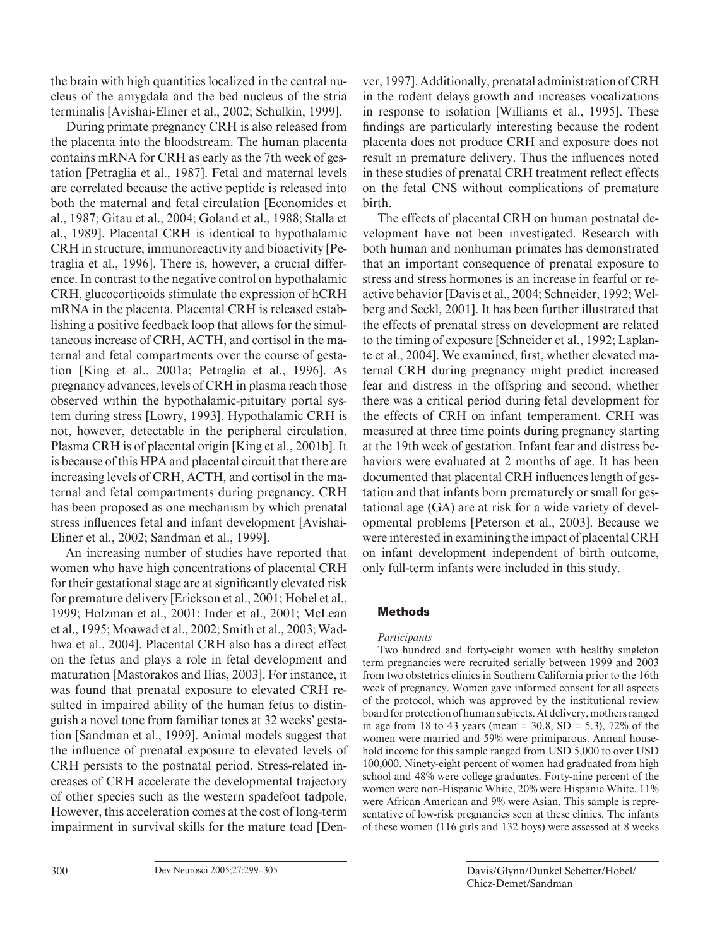the brain with high quantities localized in the central nucleus of the amygdala and the bed nucleus of the stria terminalis [Avishai-Eliner et al., 2002; Schulkin, 1999].

During primate pregnancy CRH is also released from the placenta into the bloodstream. The human placenta contains mRNA for CRH as early as the 7th week of gestation [Petraglia et al., 1987]. Fetal and maternal levels are correlated because the active peptide is released into both the maternal and fetal circulation [Economides et al., 1987; Gitau et al., 2004; Goland et al., 1988; Stalla et al., 1989]. Placental CRH is identical to hypothalamic CRH in structure, immunoreactivity and bioactivity [Petraglia et al., 1996]. There is, however, a crucial difference. In contrast to the negative control on hypothalamic CRH, glucocorticoids stimulate the expression of hCRH mRNA in the placenta. Placental CRH is released establishing a positive feedback loop that allows for the simultaneous increase of CRH, ACTH, and cortisol in the maternal and fetal compartments over the course of gestation [King et al., 2001a; Petraglia et al., 1996]. As pregnancy advances, levels of CRH in plasma reach those observed within the hypothalamic-pituitary portal system during stress [Lowry, 1993]. Hypothalamic CRH is not, however, detectable in the peripheral circulation. Plasma CRH is of placental origin [King et al., 2001b]. It is because of this HPA and placental circuit that there are increasing levels of CRH, ACTH, and cortisol in the maternal and fetal compartments during pregnancy. CRH has been proposed as one mechanism by which prenatal stress influences fetal and infant development [Avishai-Eliner et al., 2002; Sandman et al., 1999].

An increasing number of studies have reported that women who have high concentrations of placental CRH for their gestational stage are at significantly elevated risk for premature delivery [Erickson et al., 2001; Hobel et al., 1999; Holzman et al., 2001; Inder et al., 2001; McLean et al., 1995; Moawad et al., 2002; Smith et al., 2003; Wadhwa et al., 2004]. Placental CRH also has a direct effect on the fetus and plays a role in fetal development and maturation [Mastorakos and Ilias, 2003]. For instance, it was found that prenatal exposure to elevated CRH resulted in impaired ability of the human fetus to distinguish a novel tone from familiar tones at 32 weeks' gestation [Sandman et al., 1999]. Animal models suggest that the influence of prenatal exposure to elevated levels of CRH persists to the postnatal period. Stress-related increases of CRH accelerate the developmental trajectory of other species such as the western spadefoot tadpole. However, this acceleration comes at the cost of long-term impairment in survival skills for the mature toad [Denver, 1997]. Additionally, prenatal administration of CRH in the rodent delays growth and increases vocalizations in response to isolation [Williams et al., 1995]. These findings are particularly interesting because the rodent placenta does not produce CRH and exposure does not result in premature delivery. Thus the influences noted in these studies of prenatal CRH treatment reflect effects on the fetal CNS without complications of premature birth.

The effects of placental CRH on human postnatal development have not been investigated. Research with both human and nonhuman primates has demonstrated that an important consequence of prenatal exposure to stress and stress hormones is an increase in fearful or reactive behavior [Davis et al., 2004; Schneider, 1992; Welberg and Seckl, 2001]. It has been further illustrated that the effects of prenatal stress on development are related to the timing of exposure [Schneider et al., 1992; Laplante et al., 2004]. We examined, first, whether elevated maternal CRH during pregnancy might predict increased fear and distress in the offspring and second, whether there was a critical period during fetal development for the effects of CRH on infant temperament. CRH was measured at three time points during pregnancy starting at the 19th week of gestation. Infant fear and distress behaviors were evaluated at 2 months of age. It has been documented that placental CRH influences length of gestation and that infants born prematurely or small for gestational age (GA) are at risk for a wide variety of developmental problems [Peterson et al., 2003]. Because we were interested in examining the impact of placental CRH on infant development independent of birth outcome, only full-term infants were included in this study.

# **Methods**

# *Participants*

Two hundred and forty-eight women with healthy singleton term pregnancies were recruited serially between 1999 and 2003 from two obstetrics clinics in Southern California prior to the 16th week of pregnancy. Women gave informed consent for all aspects of the protocol, which was approved by the institutional review board for protection of human subjects. At delivery, mothers ranged in age from 18 to 43 years (mean =  $30.8$ , SD =  $5.3$ ), 72% of the women were married and 59% were primiparous. Annual household income for this sample ranged from USD 5,000 to over USD 100,000. Ninety-eight percent of women had graduated from high school and 48% were college graduates. Forty-nine percent of the women were non-Hispanic White, 20% were Hispanic White, 11% were African American and 9% were Asian. This sample is representative of low-risk pregnancies seen at these clinics. The infants of these women (116 girls and 132 boys) were assessed at 8 weeks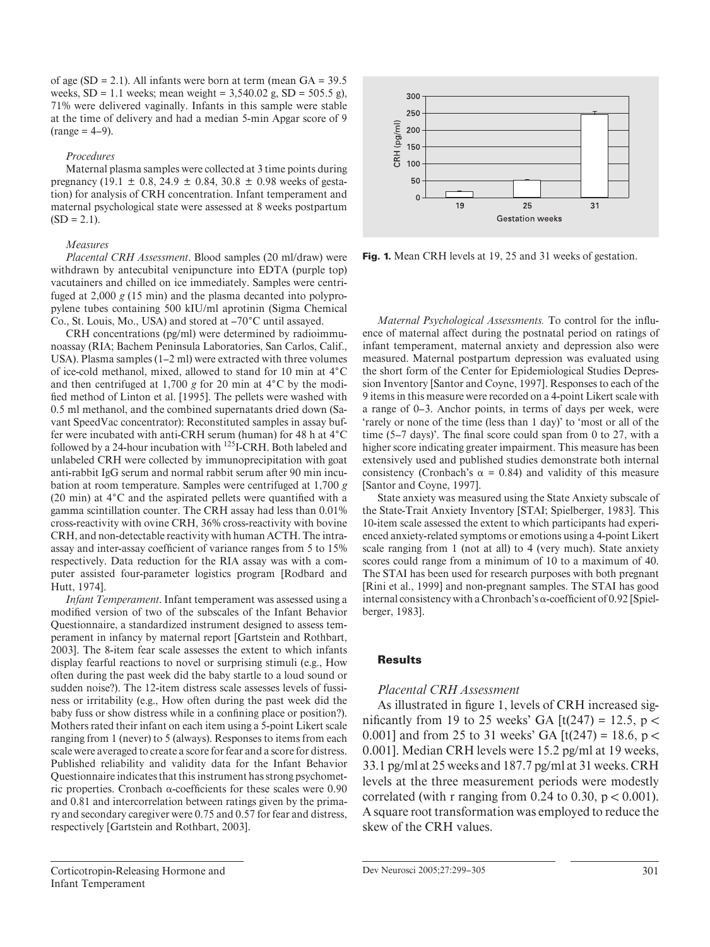of age  $(SD = 2.1)$ . All infants were born at term (mean  $GA = 39.5$ weeks,  $SD = 1.1$  weeks; mean weight = 3,540.02 g,  $SD = 505.5$  g), 71% were delivered vaginally. Infants in this sample were stable at the time of delivery and had a median 5-min Apgar score of 9  $(range = 4-9)$ .

#### *Procedures*

Maternal plasma samples were collected at 3 time points during pregnancy (19.1  $\pm$  0.8, 24.9  $\pm$  0.84, 30.8  $\pm$  0.98 weeks of gestation) for analysis of CRH concentration. Infant temperament and maternal psychological state were assessed at 8 weeks postpartum  $(SD = 2.1)$ .

#### *Measures*

*Placental CRH Assessment*. Blood samples (20 ml/draw) were withdrawn by antecubital venipuncture into EDTA (purple top) vacutainers and chilled on ice immediately. Samples were centrifuged at 2,000 *g* (15 min) and the plasma decanted into polypropylene tubes containing 500 kIU/ml aprotinin (Sigma Chemical Co., St. Louis, Mo., USA) and stored at  $-70^{\circ}$ C until assayed.

CRH concentrations (pg/ml) were determined by radioimmunoassay (RIA; Bachem Peninsula Laboratories, San Carlos, Calif., USA). Plasma samples (1–2 ml) were extracted with three volumes of ice-cold methanol, mixed, allowed to stand for 10 min at 4 ° C and then centrifuged at 1,700  $g$  for 20 min at  $4^{\circ}$ C by the modified method of Linton et al. [1995]. The pellets were washed with 0.5 ml methanol, and the combined supernatants dried down (Savant SpeedVac concentrator): Reconstituted samples in assay buffer were incubated with anti-CRH serum (human) for 48 h at 4°C followed by a 24-hour incubation with  $^{125}$ I-CRH. Both labeled and unlabeled CRH were collected by immunoprecipitation with goat anti-rabbit IgG serum and normal rabbit serum after 90 min incubation at room temperature. Samples were centrifuged at 1,700 *g*  (20 min) at  $4^{\circ}$ C and the aspirated pellets were quantified with a gamma scintillation counter. The CRH assay had less than 0.01% cross-reactivity with ovine CRH, 36% cross-reactivity with bovine CRH, and non-detectable reactivity with human ACTH. The intraassay and inter-assay coefficient of variance ranges from 5 to 15% respectively. Data reduction for the RIA assay was with a computer assisted four-parameter logistics program [Rodbard and Hutt, 1974].

*Infant Temperament*. Infant temperament was assessed using a modified version of two of the subscales of the Infant Behavior Questionnaire, a standardized instrument designed to assess temperament in infancy by maternal report [Gartstein and Rothbart, 2003]. The 8-item fear scale assesses the extent to which infants display fearful reactions to novel or surprising stimuli (e.g., How often during the past week did the baby startle to a loud sound or sudden noise?). The 12-item distress scale assesses levels of fussiness or irritability (e.g., How often during the past week did the baby fuss or show distress while in a confining place or position?). Mothers rated their infant on each item using a 5-point Likert scale ranging from 1 (never) to 5 (always). Responses to items from each scale were averaged to create a score for fear and a score for distress. Published reliability and validity data for the Infant Behavior Questionnaire indicates that this instrument has strong psychometric properties. Cronbach  $\alpha$ -coefficients for these scales were 0.90 and 0.81 and intercorrelation between ratings given by the primary and secondary caregiver were 0.75 and 0.57 for fear and distress, respectively [Gartstein and Rothbart, 2003] .



**Fig. 1.** Mean CRH levels at 19, 25 and 31 weeks of gestation.

*Maternal Psychological Assessments*. To control for the influence of maternal affect during the postnatal period on ratings of infant temperament, maternal anxiety and depression also were measured. Maternal postpartum depression was evaluated using the short form of the Center for Epidemiological Studies Depression Inventory [Santor and Coyne, 1997]. Responses to each of the 9 items in this measure were recorded on a 4-point Likert scale with a range of 0–3. Anchor points, in terms of days per week, were 'rarely or none of the time (less than 1 day)' to 'most or all of the time (5–7 days)'. The final score could span from 0 to 27, with a higher score indicating greater impairment. This measure has been extensively used and published studies demonstrate both internal consistency (Cronbach's  $\alpha = 0.84$ ) and validity of this measure [Santor and Coyne, 1997].

State anxiety was measured using the State Anxiety subscale of the State-Trait Anxiety Inventory [STAI; Spielberger, 1983]. This 10-item scale assessed the extent to which participants had experienced anxiety-related symptoms or emotions using a 4-point Likert scale ranging from 1 (not at all) to 4 (very much). State anxiety scores could range from a minimum of 10 to a maximum of 40. The STAI has been used for research purposes with both pregnant [Rini et al., 1999] and non-pregnant samples. The STAI has good internal consistency with a Chronbach's  $\alpha$ -coefficient of 0.92 [Spielberger, 1983].

#### **Results**

# *Placental CRH Assessment*

As illustrated in figure 1, levels of CRH increased significantly from 19 to 25 weeks' GA  $[t(247) = 12.5, p <$ 0.001] and from 25 to 31 weeks' GA  $[t(247) = 18.6, p <$ 0.001]. Median CRH levels were 15.2 pg/ml at 19 weeks, 33.1 pg/ml at 25 weeks and 187.7 pg/ml at 31 weeks. CRH levels at the three measurement periods were modestly correlated (with r ranging from 0.24 to 0.30,  $p < 0.001$ ). A square root transformation was employed to reduce the skew of the CRH values.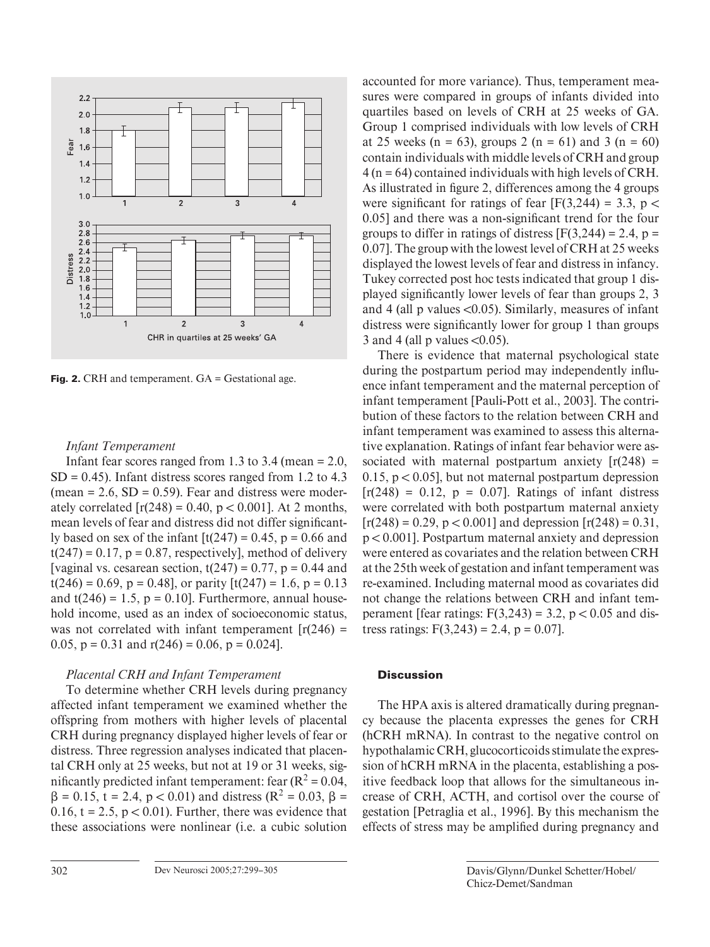

**Fig. 2.** CRH and temperament. GA = Gestational age.

### *Infant Temperament*

Infant fear scores ranged from 1.3 to 3.4 (mean  $= 2.0$ ,  $SD = 0.45$ ). Infant distress scores ranged from 1.2 to 4.3 (mean  $= 2.6$ , SD  $= 0.59$ ). Fear and distress were moderately correlated  $[r(248) = 0.40, p < 0.001]$ . At 2 months, mean levels of fear and distress did not differ significantly based on sex of the infant  $[t(247) = 0.45, p = 0.66$  and  $t(247) = 0.17$ ,  $p = 0.87$ , respectively], method of delivery [vaginal vs. cesarean section,  $t(247) = 0.77$ ,  $p = 0.44$  and  $t(246) = 0.69$ ,  $p = 0.48$ , or parity  $[t(247) = 1.6, p = 0.13]$ and  $t(246) = 1.5$ ,  $p = 0.10$ . Furthermore, annual household income, used as an index of socioeconomic status, was not correlated with infant temperament  $[r(246) =$ 0.05,  $p = 0.31$  and  $r(246) = 0.06$ ,  $p = 0.024$ ].

# *Placental CRH and Infant Temperament*

To determine whether CRH levels during pregnancy affected infant temperament we examined whether the offspring from mothers with higher levels of placental CRH during pregnancy displayed higher levels of fear or distress. Three regression analyses indicated that placental CRH only at 25 weeks, but not at 19 or 31 weeks, significantly predicted infant temperament: fear  $(R^2 = 0.04,$  $\beta = 0.15$ , t = 2.4, p < 0.01) and distress (R<sup>2</sup> = 0.03,  $\beta$  = 0.16,  $t = 2.5$ ,  $p < 0.01$ ). Further, there was evidence that these associations were nonlinear (i.e. a cubic solution

accounted for more variance). Thus, temperament measures were compared in groups of infants divided into quartiles based on levels of CRH at 25 weeks of GA. Group 1 comprised individuals with low levels of CRH at 25 weeks (n = 63), groups 2 (n = 61) and 3 (n = 60) contain individuals with middle levels of CRH and group  $4$  (n = 64) contained individuals with high levels of CRH. As illustrated in figure 2, differences among the 4 groups were significant for ratings of fear  $[F(3,244) = 3.3, p <$ 0.05] and there was a non-significant trend for the four groups to differ in ratings of distress  $[F(3,244) = 2.4, p =$ 0.07]. The group with the lowest level of CRH at 25 weeks displayed the lowest levels of fear and distress in infancy. Tukey corrected post hoc tests indicated that group 1 displayed significantly lower levels of fear than groups 2, 3 and 4 (all  $p$  values <0.05). Similarly, measures of infant distress were significantly lower for group 1 than groups 3 and 4 (all p values  $\leq 0.05$ ).

There is evidence that maternal psychological state during the postpartum period may independently influence infant temperament and the maternal perception of infant temperament [Pauli-Pott et al., 2003]. The contribution of these factors to the relation between CRH and infant temperament was examined to assess this alternative explanation. Ratings of infant fear behavior were associated with maternal postpartum anxiety  $[r(248) =$ 0.15,  $p < 0.05$ ], but not maternal postpartum depression  $[r(248) = 0.12, p = 0.07]$ . Ratings of infant distress were correlated with both postpartum maternal anxiety  $[r(248) = 0.29, p < 0.001]$  and depression  $[r(248) = 0.31,$  $p < 0.001$ ]. Postpartum maternal anxiety and depression were entered as covariates and the relation between CRH at the 25th week of gestation and infant temperament was re-examined. Including maternal mood as covariates did not change the relations between CRH and infant temperament [fear ratings:  $F(3,243) = 3.2$ ,  $p < 0.05$  and distress ratings:  $F(3,243) = 2.4$ ,  $p = 0.07$ .

# **Discussion**

The HPA axis is altered dramatically during pregnancy because the placenta expresses the genes for CRH (hCRH mRNA). In contrast to the negative control on hypothalamic CRH, glucocorticoids stimulate the expression of hCRH mRNA in the placenta, establishing a positive feedback loop that allows for the simultaneous increase of CRH, ACTH, and cortisol over the course of gestation [Petraglia et al., 1996]. By this mechanism the effects of stress may be amplified during pregnancy and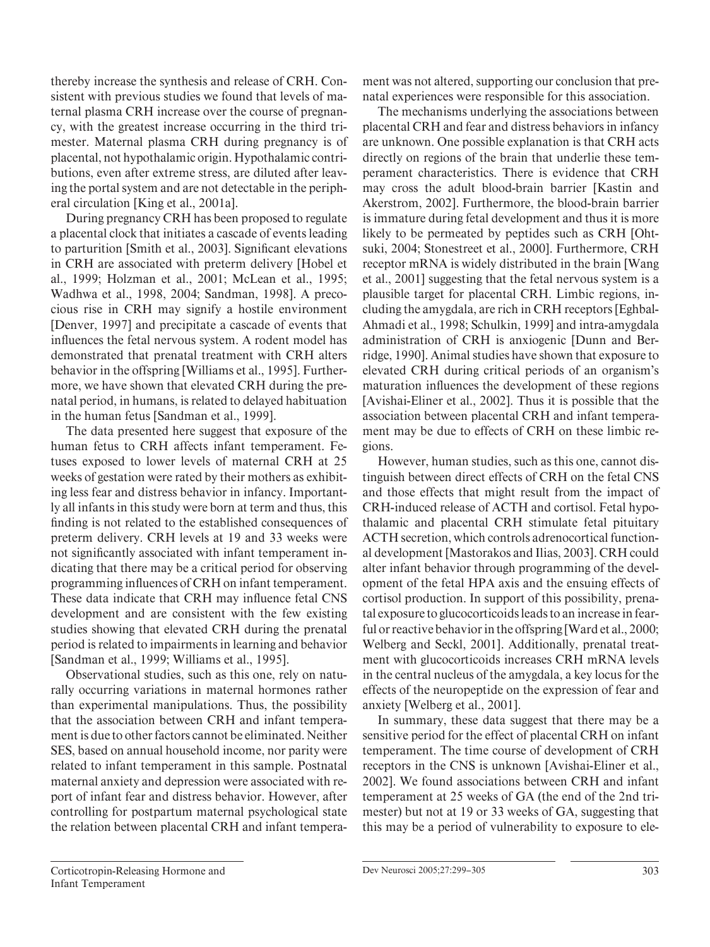thereby increase the synthesis and release of CRH. Consistent with previous studies we found that levels of maternal plasma CRH increase over the course of pregnancy, with the greatest increase occurring in the third trimester. Maternal plasma CRH during pregnancy is of placental, not hypothalamic origin. Hypothalamic contributions, even after extreme stress, are diluted after leaving the portal system and are not detectable in the peripheral circulation [King et al., 2001a].

During pregnancy CRH has been proposed to regulate a placental clock that initiates a cascade of events leading to parturition [Smith et al., 2003]. Significant elevations in CRH are associated with preterm delivery [Hobel et al., 1999; Holzman et al., 2001; McLean et al., 1995; Wadhwa et al., 1998, 2004; Sandman, 1998]. A precocious rise in CRH may signify a hostile environment [Denver, 1997] and precipitate a cascade of events that influences the fetal nervous system. A rodent model has demonstrated that prenatal treatment with CRH alters behavior in the offspring [Williams et al., 1995]. Furthermore, we have shown that elevated CRH during the prenatal period, in humans, is related to delayed habituation in the human fetus [Sandman et al., 1999].

The data presented here suggest that exposure of the human fetus to CRH affects infant temperament. Fetuses exposed to lower levels of maternal CRH at 25 weeks of gestation were rated by their mothers as exhibiting less fear and distress behavior in infancy. Importantly all infants in this study were born at term and thus, this finding is not related to the established consequences of preterm delivery. CRH levels at 19 and 33 weeks were not significantly associated with infant temperament indicating that there may be a critical period for observing programming influences of CRH on infant temperament. These data indicate that CRH may influence fetal CNS development and are consistent with the few existing studies showing that elevated CRH during the prenatal period is related to impairments in learning and behavior [Sandman et al., 1999; Williams et al., 1995].

Observational studies, such as this one, rely on naturally occurring variations in maternal hormones rather than experimental manipulations. Thus, the possibility that the association between CRH and infant temperament is due to other factors cannot be eliminated. Neither SES, based on annual household income, nor parity were related to infant temperament in this sample. Postnatal maternal anxiety and depression were associated with report of infant fear and distress behavior. However, after controlling for postpartum maternal psychological state the relation between placental CRH and infant temperament was not altered, supporting our conclusion that prenatal experiences were responsible for this association.

The mechanisms underlying the associations between placental CRH and fear and distress behaviors in infancy are unknown. One possible explanation is that CRH acts directly on regions of the brain that underlie these temperament characteristics. There is evidence that CRH may cross the adult blood-brain barrier [Kastin and Akerstrom, 2002]. Furthermore, the blood-brain barrier is immature during fetal development and thus it is more likely to be permeated by peptides such as CRH [Ohtsuki, 2004; Stonestreet et al., 2000]. Furthermore, CRH receptor mRNA is widely distributed in the brain [Wang et al., 2001] suggesting that the fetal nervous system is a plausible target for placental CRH. Limbic regions, including the amygdala, are rich in CRH receptors [Eghbal-Ahmadi et al., 1998; Schulkin, 1999] and intra-amygdala administration of CRH is anxiogenic [Dunn and Berridge, 1990]. Animal studies have shown that exposure to elevated CRH during critical periods of an organism's maturation influences the development of these regions [Avishai-Eliner et al., 2002]. Thus it is possible that the association between placental CRH and infant temperament may be due to effects of CRH on these limbic regions.

However, human studies, such as this one, cannot distinguish between direct effects of CRH on the fetal CNS and those effects that might result from the impact of CRH-induced release of ACTH and cortisol. Fetal hypothalamic and placental CRH stimulate fetal pituitary ACTH secretion, which controls adrenocortical functional development [Mastorakos and Ilias, 2003]. CRH could alter infant behavior through programming of the development of the fetal HPA axis and the ensuing effects of cortisol production. In support of this possibility, prenatal exposure to glucocorticoids leads to an increase in fearful or reactive behavior in the offspring [Ward et al., 2000; Welberg and Seckl, 2001]. Additionally, prenatal treatment with glucocorticoids increases CRH mRNA levels in the central nucleus of the amygdala, a key locus for the effects of the neuropeptide on the expression of fear and anxiety [Welberg et al., 2001].

In summary, these data suggest that there may be a sensitive period for the effect of placental CRH on infant temperament. The time course of development of CRH receptors in the CNS is unknown [Avishai-Eliner et al., 2002]. We found associations between CRH and infant temperament at 25 weeks of GA (the end of the 2nd trimester) but not at 19 or 33 weeks of GA, suggesting that this may be a period of vulnerability to exposure to ele-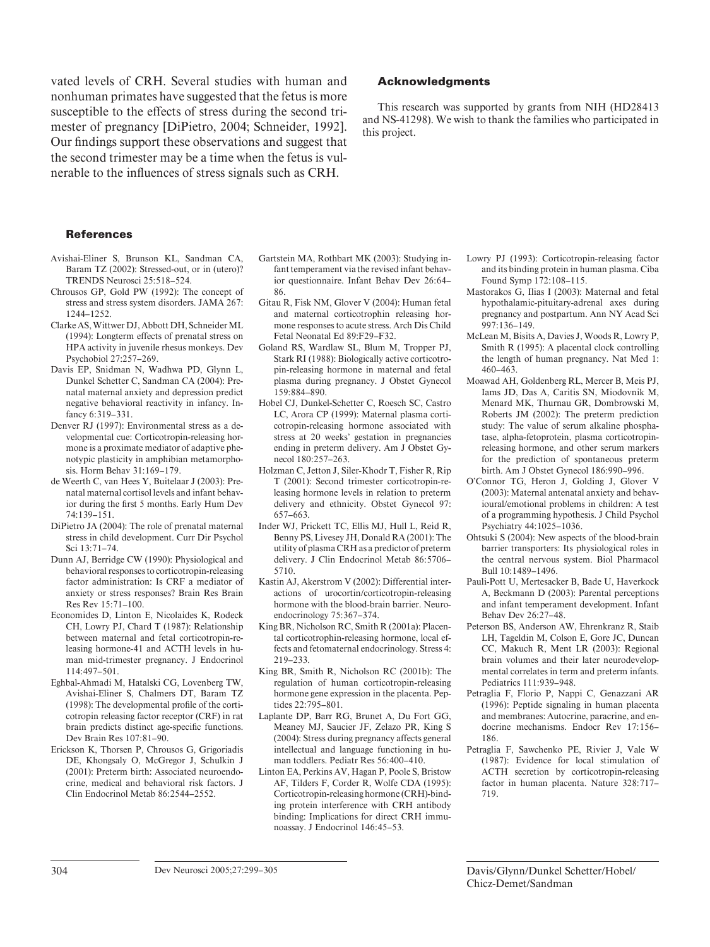vated levels of CRH. Several studies with human and nonhuman primates have suggested that the fetus is more susceptible to the effects of stress during the second trimester of pregnancy [DiPietro, 2004; Schneider, 1992]. Our findings support these observations and suggest that the second trimester may be a time when the fetus is vulnerable to the influences of stress signals such as CRH.

#### **References**

- Avishai-Eliner S, Brunson KL, Sandman CA, Baram TZ (2002): Stressed-out, or in (utero)? TRENDS Neurosci 25:518-524.
- Chrousos GP, Gold PW (1992): The concept of stress and stress system disorders. JAMA 267: 1244–1252.
- Clarke AS, Wittwer DJ, Abbott DH, Schneider ML (1994): Longterm effects of prenatal stress on HPA activity in juvenile rhesus monkeys. Dev Psychobiol 27:257–269.
- Davis EP, Snidman N, Wadhwa PD, Glynn L, Dunkel Schetter C, Sandman CA (2004): Prenatal maternal anxiety and depression predict negative behavioral reactivity in infancy. Infancy 6:319-331
- Denver RJ (1997): Environmental stress as a developmental cue: Corticotropin-releasing hormone is a proximate mediator of adaptive phenotypic plasticity in amphibian metamorphosis. Horm Behav 31: 169–179.
- de Weerth C, van Hees Y, Buitelaar J (2003): Prenatal maternal cortisol levels and infant behavior during the first 5 months. Early Hum Dev 74: 139–151.
- DiPietro JA (2004): The role of prenatal maternal stress in child development. Curr Dir Psychol Sci 13: 71–74.
- Dunn AJ, Berridge CW (1990): Physiological and behavioral responses to corticotropin-releasing factor administration: Is CRF a mediator of anxiety or stress responses? Brain Res Brain  $Res Rev 15:71–100.$
- Economides D, Linton E, Nicolaides K, Rodeck CH, Lowry PJ, Chard T (1987): Relationship between maternal and fetal corticotropin-releasing hormone-41 and ACTH levels in human mid-trimester pregnancy. J Endocrinol  $114.497 - 501$ .
- Eghbal-Ahmadi M, Hatalski CG, Lovenberg TW, Avishai-Eliner S, Chalmers DT, Baram TZ (1998): The developmental profile of the corticotropin releasing factor receptor (CRF) in rat brain predicts distinct age-specific functions. Dev Brain Res 107:81-90.
- Erickson K, Thorsen P, Chrousos G, Grigoriadis DE, Khongsaly O, McGregor J, Schulkin J (2001): Preterm birth: Associated neuroendocrine, medical and behavioral risk factors. J Clin Endocrinol Metab 86:2544-2552.
- Gartstein MA, Rothbart MK (2003): Studying infant temperament via the revised infant behavior questionnaire. Infant Behav Dev 26:64-86.
- Gitau R, Fisk NM, Glover V (2004): Human fetal and maternal corticotrophin releasing hormone responses to acute stress. Arch Dis Child Fetal Neonatal Ed 89:F29–F32.
- Goland RS, Wardlaw SL, Blum M, Tropper PJ, Stark RI (1988): Biologically active corticotropin-releasing hormone in maternal and fetal plasma during pregnancy. J Obstet Gynecol 159: 884–890.
- Hobel CJ, Dunkel-Schetter C, Roesch SC, Castro LC, Arora CP (1999): Maternal plasma corticotropin-releasing hormone associated with stress at 20 weeks' gestation in pregnancies ending in preterm delivery. Am J Obstet Gynecol 180:257-263.
- Holzman C, Jetton J, Siler-Khodr T, Fisher R, Rip T (2001): Second trimester corticotropin-releasing hormone levels in relation to preterm delivery and ethnicity. Obstet Gynecol 97: 657–663.
- Inder WJ, Prickett TC, Ellis MJ, Hull L, Reid R, Benny PS, Livesey JH, Donald RA (2001): The utility of plasma CRH as a predictor of preterm delivery. J Clin Endocrinol Metab 86:5706-5710.
- Kastin AJ, Akerstrom V (2002): Differential interactions of urocortin/corticotropin-releasing hormone with the blood-brain barrier. Neuroendocrinology 75:367-374.
- King BR, Nicholson RC, Smith R (2001a): Placental corticotrophin-releasing hormone, local effects and fetomaternal endocrinology. Stress 4: 219–233.
- King BR, Smith R, Nicholson RC (2001b): The regulation of human corticotropin-releasing hormone gene expression in the placenta. Peptides 22:795-801.
- Laplante DP, Barr RG, Brunet A, Du Fort GG, Meaney MJ, Saucier JF, Zelazo PR, King S (2004): Stress during pregnancy affects general intellectual and language functioning in human toddlers. Pediatr Res 56: 400–410.
- Linton EA, Perkins AV, Hagan P, Poole S, Bristow AF, Tilders F, Corder R, Wolfe CDA (1995): Corticotropin-releasing hormone (CRH)-binding protein interference with CRH antibody binding: Implications for direct CRH immunoassay. J Endocrinol 146: 45–53.

#### **Acknowledgments**

This research was supported by grants from NIH (HD28413 and NS-41298). We wish to thank the families who participated in this project.

- Lowry PJ (1993): Corticotropin-releasing factor and its binding protein in human plasma. Ciba Found Symp 172: 108–115.
- Mastorakos G, Ilias I (2003): Maternal and fetal hypothalamic-pituitary-adrenal axes during pregnancy and postpartum. Ann NY Acad Sci  $997:136 - 149$
- McLean M, Bisits A, Davies J, Woods R, Lowry P, Smith R (1995): A placental clock controlling the length of human pregnancy. Nat Med 1: 460–463.
- Moawad AH, Goldenberg RL, Mercer B, Meis PJ, Iams JD, Das A, Caritis SN, Miodovnik M, Menard MK, Thurnau GR, Dombrowski M, Roberts JM (2002): The preterm prediction study: The value of serum alkaline phosphatase, alpha-fetoprotein, plasma corticotropinreleasing hormone, and other serum markers for the prediction of spontaneous preterm birth. Am J Obstet Gynecol 186:990-996.
- O'Connor TG, Heron J, Golding J, Glover V (2003): Maternal antenatal anxiety and behavioural/emotional problems in children: A test of a programming hypothesis. J Child Psychol Psychiatry 44: 1025–1036.
- Ohtsuki S (2004): New aspects of the blood-brain barrier transporters: Its physiological roles in the central nervous system. Biol Pharmacol Bull 10: 1489–1496.
- Pauli-Pott U, Mertesacker B, Bade U, Haverkock A, Beckmann D (2003): Parental perceptions and infant temperament development. Infant Behav Dev 26:27-48.
- Peterson BS, Anderson AW, Ehrenkranz R, Staib LH, Tageldin M, Colson E, Gore JC, Duncan CC, Makuch R, Ment LR (2003): Regional brain volumes and their later neurodevelopmental correlates in term and preterm infants. Pediatrics 111: 939–948.
- Petraglia F, Florio P, Nappi C, Genazzani AR (1996): Peptide signaling in human placenta and membranes: Autocrine, paracrine, and endocrine mechanisms. Endocr Rev 17:156-186.
- Petraglia F, Sawchenko PE, Rivier J, Vale W (1987): Evidence for local stimulation of ACTH secretion by corticotropin-releasing factor in human placenta. Nature 328:717-719.